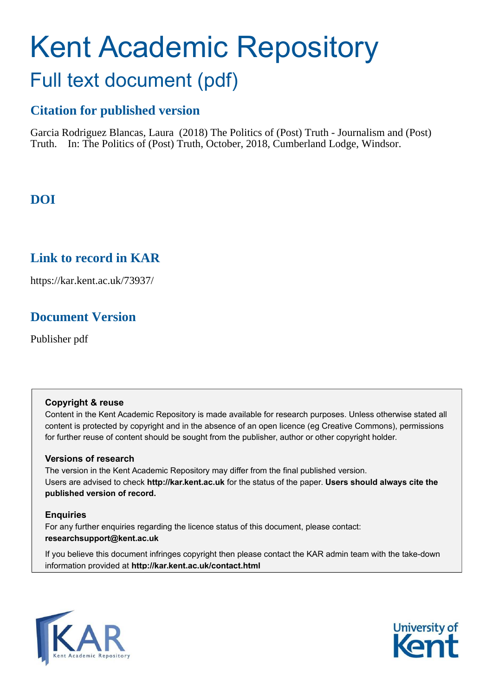# Kent Academic Repository Full text document (pdf)

## **Citation for published version**

Garcia Rodriguez Blancas, Laura (2018) The Politics of (Post) Truth - Journalism and (Post) Truth. In: The Politics of (Post) Truth, October, 2018, Cumberland Lodge, Windsor.

## **DOI**

## **Link to record in KAR**

https://kar.kent.ac.uk/73937/

## **Document Version**

Publisher pdf

#### **Copyright & reuse**

Content in the Kent Academic Repository is made available for research purposes. Unless otherwise stated all content is protected by copyright and in the absence of an open licence (eg Creative Commons), permissions for further reuse of content should be sought from the publisher, author or other copyright holder.

#### **Versions of research**

The version in the Kent Academic Repository may differ from the final published version. Users are advised to check **http://kar.kent.ac.uk** for the status of the paper. **Users should always cite the published version of record.**

#### **Enquiries**

For any further enquiries regarding the licence status of this document, please contact: **researchsupport@kent.ac.uk**

If you believe this document infringes copyright then please contact the KAR admin team with the take-down information provided at **http://kar.kent.ac.uk/contact.html**



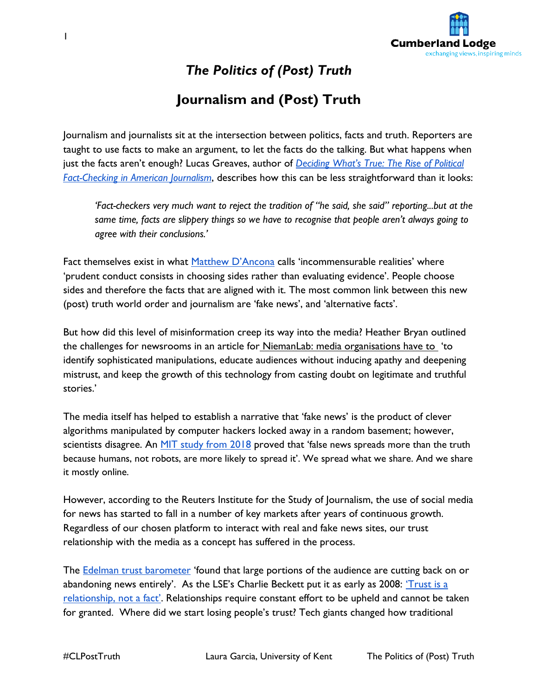

*The Politics of (Post) Truth* 

## **Journalism and (Post) Truth**

Journalism and journalists sit at the intersection between politics, facts and truth. Reporters are taught to use facts to make an argument, to let the facts do the talking. But what happens when just the facts aren't enough? Lucas Greaves, author of *[Deciding What's True: The Rise](https://www.amazon.com/dp/B01I8S3ZD4/ref=dp-kindle-redirect?_encoding=UTF8&btkr=1) of Political [Fact-Checking in American Journalism](https://www.amazon.com/dp/B01I8S3ZD4/ref=dp-kindle-redirect?_encoding=UTF8&btkr=1)*, describes how this can be less straightforward than it looks:

*'Fact-checkers very much want to reject the tradition of "he said, she said" reporting...but at the same time, facts are slippery things so we have to recognise that people aren't always going to agree with their conclusions.'*

Fac[t](https://www.theguardian.com/books/2017/may/19/post-truth-matthew-dancona-evan-davis-reiews) themselves exist in what [Matthew D'Ancona](https://www.theguardian.com/books/2017/may/19/post-truth-matthew-dancona-evan-davis-reiews) calls 'incommensurable realities' where 'prudent conduct consists in choosing sides rather than evaluating evidence'. People choose sides and therefore the facts that are aligned with it. The most common link between this new (post) truth world order and journalism are 'fake news', and 'alternative facts'.

But how did this level of misinformation creep its way into the media? Heather Bryan outlined the challenges for newsrooms in an article for NiemanLab: media organisations have to 'to identify sophisticated manipulations, educate audiences without inducing apathy and deepening mistrust, and keep the growth of this technology from casting doubt on legitimate and truthful stories.'

The media itself has helped to establish a narrative that 'fake news' is the product of clever algorithms manipulated by computer hackers locked away in a random basement; however, scientists disagree. An [MIT study from 2018](https://www.mediapost.com/publications/article/315815/) proved that 'false news spreads more than the truth because humans, not robots, are more likely to spread it'. We spread what we share. And we share it mostly online.

However, according to the Reuters Institute for the Study of Journalism, the use of social media for news has started to fall in a number of key markets after years of continuous growth. Regardless of our chosen platform to interact with real and fake news sites, our trust relationship with the media as a concept has suffered in the process.

The [Edelman trust barometer](https://www.edelman.com/trust-barometer/) 'found that large portions of the audience are cutting back on or abandoning news entirely'. As the LSE's Charlie Beckett put it as early as 2008[:](https://eprints.lse.ac.uk/78431/) 'Trust is a [relationship, not a fact](https://eprints.lse.ac.uk/78431/)'. Relationships require constant effort to be upheld and cannot be taken for granted. Where did we start losing people's trust? Tech giants changed how traditional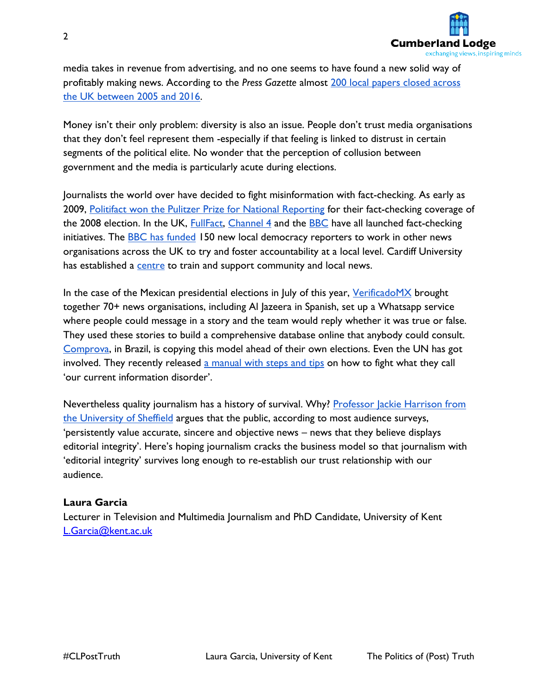

media takes in revenue from advertising, and no one seems to have found a new solid way of profitably making news. According to the *Press Gazette* almos[t 200 local papers closed across](https://www.pressgazette.co.uk/new-research-some-198-uk-local-newspapers-have-closed-since-2005/)  [the UK between 2005 and 2016.](https://www.pressgazette.co.uk/new-research-some-198-uk-local-newspapers-have-closed-since-2005/)

Money isn't their only problem: diversity is also an issue. People don't trust media organisations that they don't feel represent them -especially if that feeling is linked to distrust in certain segments of the political elite. No wonder that the perception of collusion between government and the media is particularly acute during elections.

Journalists the world over have decided to fight misinformation with fact-checking. As early as 200[9, Politifact won the Pulitzer Prize for National Reporting](https://www.politifact.com/truth-o-meter/article/2009/apr/20/politifact-wins-pulitzer/) for their fact-checking coverage of the 2008 election. In the UK, **FullFact**[, Channel 4](https://www.channel4.com/news/factcheck) and the **BBC** have all launched fact-checking initiatives. The **BBC** has funded 150 new local democracy reporters to work in other news organisations across the UK to try and foster accountability at a local level. Cardiff University has established [a centre](http://www.communityjournalism.co.uk/) to train and support community and local news.

In the case of the Mexican presidential elections in July of this year[, VerificadoMX](https://twitter.com/VerificadoMX) brought together 70+ news organisations, including Al Jazeera in Spanish, set up a Whatsapp service where people could message in a story and the team would reply whether it was true or false. They used these stories to build a comprehensive database online that anybody could consult[.](https://twitter.com/comprova)  [Comprova,](https://twitter.com/comprova) in Brazil, is copying this model ahead of their own elections. Even the UN has got involved. They recently released [a manual with steps and tips](http://unesdoc.unesco.org/images/0026/002655/265552E.pdf) on how to fight what they call 'our current information disorder'.

Nevertheless quality journalism has a history of survival. Why? Professor Jackie Harrison from [the University of Sheffield](https://theconversation.com/fake-news-has-always-existed-but-quality-journalism-has-a-history-of-survival-95615) argues that the public, according to most audience surveys, 'persistently value accurate, sincere and objective news – news that they believe displays editorial integrity'. Here's hoping journalism cracks the business model so that journalism with 'editorial integrity' survives long enough to re-establish our trust relationship with our audience.

#### **Laura Garcia**

Lecturer in Television and Multimedia Journalism and PhD Candidate, University of Kent [L.Garcia@kent.ac.uk](mailto:L.Garcia@kent.ac.uk)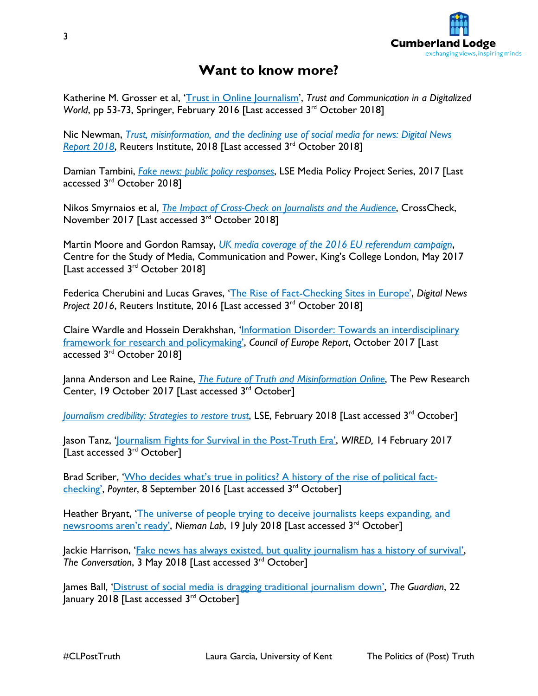

### **Want to know more?**

Katherine M. Grosser et al, '[Trust in Online Journalism](https://link.springer.com/chapter/10.1007/978-3-319-28059-2_3)', *Trust and Communication in a Digitalized World*, pp 53-73, Springer, February 2016 [Last accessed 3<sup>rd</sup> October 2018]

Nic Newman[,](https://reutersinstitute.politics.ox.ac.uk/risj-review/trust-misinformation-and-declining-use-social-media-news-digital-news-report-2018) *Trust, misinformation, and the declining use of social media for news: Digital News Report 2018*, Reuters Institute, 2018 [Last accessed 3<sup>rd</sup> October 2018]

Damian Tambini[,](http://eprints.lse.ac.uk/73015/) *[Fake news: public policy responses](http://eprints.lse.ac.uk/73015/)*, LSE Media Policy Project Series, 2017 [Last accessed 3<sup>rd</sup> October 2018]

Nikos Smyrnaios et al, *[The Impact of Cross-Check on Journalists and the Audience](https://firstdraftnews.org/wp-content/uploads/2017/11/Crosscheck_rapport_EN_1129.pdf/)*, CrossCheck, November 2017 [Last accessed 3<sup>rd</sup> October 2018]

Martin Moore and Gordon Ramsay, *[UK media coverage of the 2016 EU referendum campaign](https://www.kcl.ac.uk/sspp/policy-institute/CMCP/UK-media-coverage-of-the-2016-EU-Referendum-campaign.pdf)*, Centre for the Study of Media, Communication and Power, King's College London, May 2017 [Last accessed 3<sup>rd</sup> October 2018]

Federica Cherubini and Lucas Graves, '[The Rise of Fact-Checking Sites in Europe](https://reutersinstitute.politics.ox.ac.uk/our-research/rise-fact-checking-sites-europe)', *Digital News*  Project 2016, Reuters Institute, 2016 [Last accessed 3<sup>rd</sup> October 2018]

Claire Wardle and Hossein Derakhshan, 'Information Disorder: Towards an interdisciplinary [framework for research and policymaking](https://firstdraftnews.com/wp-content/uploads/2017/11/PREMS-162317-GBR-2018-Report-de%CC%81sinformation-1.pdf?x10232)', *Council of Europe Report*, October 2017 [Last accessed 3<sup>rd</sup> October 2018]

Janna Anderson and Lee Raine, *[The Future of Truth and Misinformation Online](http://www.pewinternet.org/2017/10/19/the-future-of-truth-and-misinformation-online/)*, The Pew Research Center, 19 October 2017 [Last accessed 3<sup>rd</sup> October]

[Journalism credibility: Strategies to restore trust](http://www.lse.ac.uk/media-and-communications/truth-trust-and-technology-commission/journalism-credibility), LSE, February 2018 [Last accessed 3<sup>rd</sup> October]

Jason Tanz, '[Journalism Fights for Survival in the Post-Truth Era](https://www.wired.com/2017/02/journalism-fights-survival-post-truth-era/)', *WIRED,* 14 February 2017 [Last accessed 3<sup>rd</sup> October]

Brad Scriber, ['Who decides what's true in politics? A history of the rise of political fact](https://www.poynter.org/news/who-decides-whats-true-politics-history-rise-political-fact-checking)[checking](https://www.poynter.org/news/who-decides-whats-true-politics-history-rise-political-fact-checking)', *Poynter*, 8 September 2016 [Last accessed 3rd October]

Heather Bryant, '[The universe of people trying to deceive journalists keeps expanding, and](http://www.niemanlab.org/2018/07/the-universe-of-people-trying-to-deceive-journalists-keeps-expanding-and-newsrooms-arent-ready/)  [newsrooms aren't ready'](http://www.niemanlab.org/2018/07/the-universe-of-people-trying-to-deceive-journalists-keeps-expanding-and-newsrooms-arent-ready/), Nieman Lab, 19 July 2018 [Last accessed 3<sup>rd</sup> October]

[Jackie](https://theconversation.com/fake-news-has-always-existed-but-quality-journalism-has-a-history-of-survival-95615) Harrison, '[Fake news has always existed, but quality journalism has a history of survival](https://theconversation.com/fake-news-has-always-existed-but-quality-journalism-has-a-history-of-survival-95615)', *The Conversation*, 3 May 2018 [Last accessed 3<sup>rd</sup> October]

James Ball, '[Distrust of social media is dragging traditional journalism down](https://www.theguardian.com/commentisfree/2018/jan/22/distrust-social-media-traditional-journalism-fake-news)', *The Guardian*, 22 January 2018 [Last accessed 3<sup>rd</sup> October]